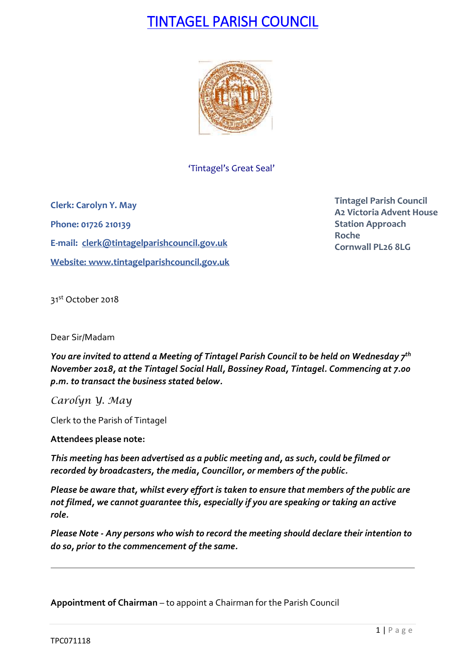# TINTAGEL PARISH COUNCIL



'Tintagel's Great Seal'

**Clerk: Carolyn Y. May Phone: 01726 210139 E-mail: [clerk@tintagelparishcouncil.gov.uk](mailto:clerk@tintagelparishcouncil.gov.uk) Website: [www.tintagelparishcouncil.gov.uk](http://www.tintagelparishcouncil.gov.uk/)** **Tintagel Parish Council A2 Victoria Advent House Station Approach Roche Cornwall PL26 8LG**

31st October 2018

Dear Sir/Madam

*You are invited to attend a Meeting of Tintagel Parish Council to be held on Wednesday 7 th November 2018, at the Tintagel Social Hall, Bossiney Road, Tintagel. Commencing at 7.00 p.m. to transact the business stated below.*

*Carolyn Y. May*

Clerk to the Parish of Tintagel

**Attendees please note:**

*This meeting has been advertised as a public meeting and, as such, could be filmed or recorded by broadcasters, the media, Councillor, or members of the public.*

*Please be aware that, whilst every effort is taken to ensure that members of the public are not filmed, we cannot guarantee this, especially if you are speaking or taking an active role.*

*Please Note - Any persons who wish to record the meeting should declare their intention to do so, prior to the commencement of the same.*

**Appointment of Chairman** – to appoint a Chairman for the Parish Council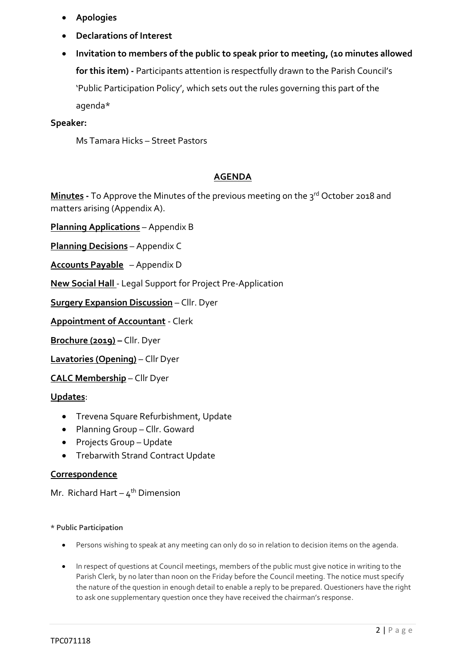- **Apologies**
- **Declarations of Interest**
- **Invitation to members of the public to speak prior to meeting, (10 minutes allowed for this item) -** Participants attention is respectfully drawn to the Parish Council's 'Public Participation Policy', which sets out the rules governing this part of the agenda\*

#### **Speaker:**

Ms Tamara Hicks – Street Pastors

### **AGENDA**

**Minutes** - To Approve the Minutes of the previous meeting on the 3<sup>rd</sup> October 2018 and matters arising (Appendix A).

**Planning Applications** – Appendix B

**Planning Decisions** – Appendix C

**Accounts Payable** – Appendix D

**New Social Hall** - Legal Support for Project Pre-Application

**Surgery Expansion Discussion** – Cllr. Dyer

**Appointment of Accountant** - Clerk

**Brochure (2019) –** Cllr. Dyer

**Lavatories (Opening)** – Cllr Dyer

**CALC Membership** – Cllr Dyer

**Updates**:

- Trevena Square Refurbishment, Update
- Planning Group Cllr. Goward
- Projects Group Update
- Trebarwith Strand Contract Update

### **Correspondence**

Mr. Richard Hart – 4<sup>th</sup> Dimension

**\* Public Participation**

- Persons wishing to speak at any meeting can only do so in relation to decision items on the agenda.
- In respect of questions at Council meetings, members of the public must give notice in writing to the Parish Clerk, by no later than noon on the Friday before the Council meeting. The notice must specify the nature of the question in enough detail to enable a reply to be prepared. Questioners have the right to ask one supplementary question once they have received the chairman's response.